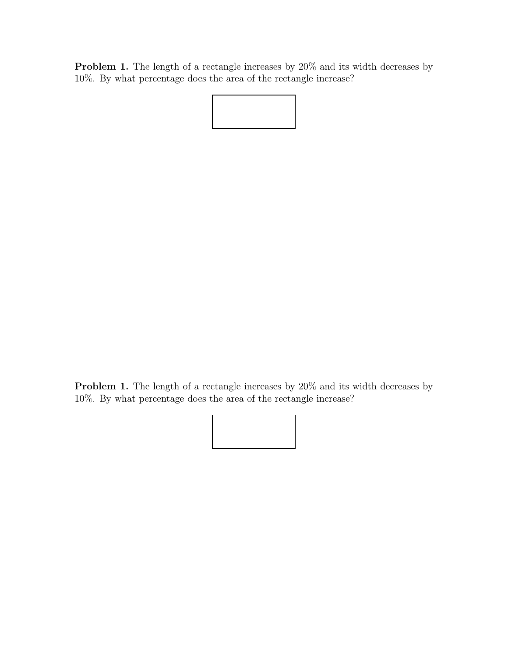Problem 1. The length of a rectangle increases by 20% and its width decreases by 10%. By what percentage does the area of the rectangle increase?



Problem 1. The length of a rectangle increases by 20% and its width decreases by 10%. By what percentage does the area of the rectangle increase?

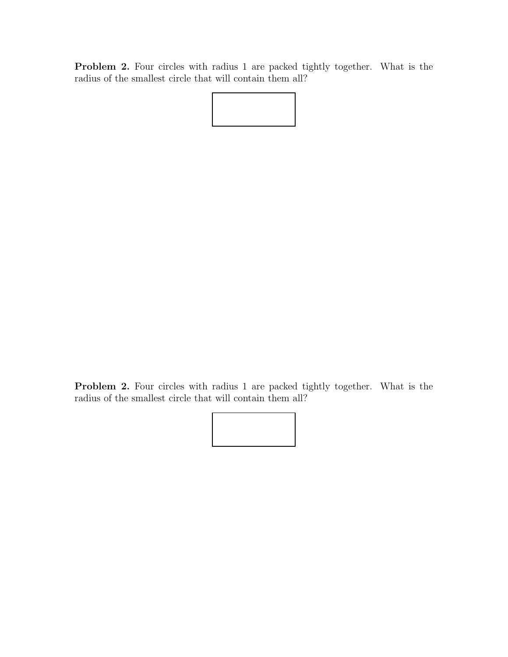Problem 2. Four circles with radius 1 are packed tightly together. What is the radius of the smallest circle that will contain them all?



Problem 2. Four circles with radius 1 are packed tightly together. What is the radius of the smallest circle that will contain them all?

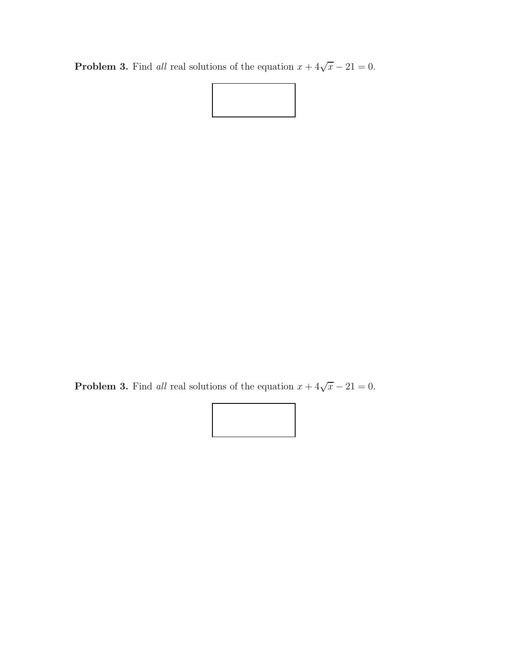**Problem 3.** Find all real solutions of the equation  $x + 4\sqrt{x} - 21 = 0$ .



**Problem 3.** Find all real solutions of the equation  $x + 4\sqrt{x} - 21 = 0$ .

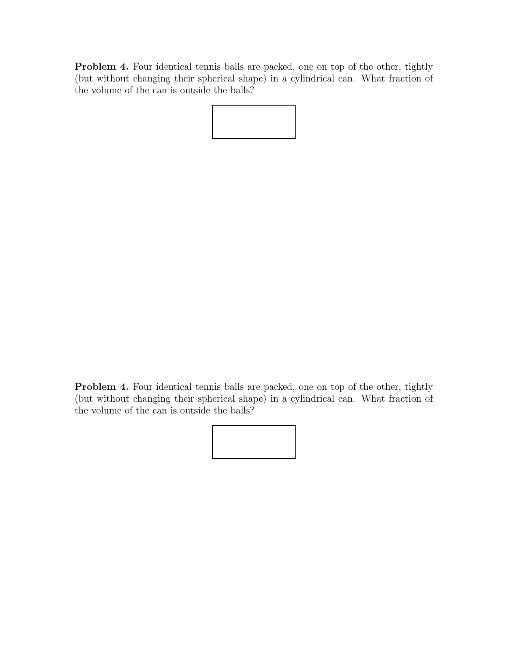Problem 4. Four identical tennis balls are packed, one on top of the other, tightly (but without changing their spherical shape) in a cylindrical can. What fraction of the volume of the can is outside the balls?

Problem 4. Four identical tennis balls are packed, one on top of the other, tightly (but without changing their spherical shape) in a cylindrical can. What fraction of the volume of the can is outside the balls?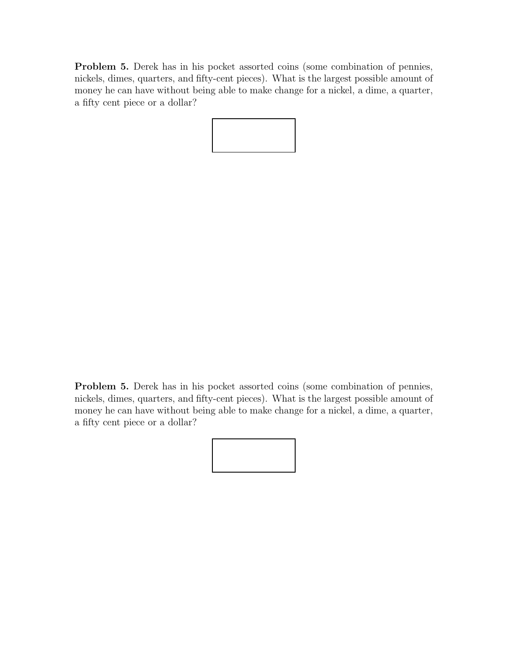Problem 5. Derek has in his pocket assorted coins (some combination of pennies, nickels, dimes, quarters, and fifty-cent pieces). What is the largest possible amount of money he can have without being able to make change for a nickel, a dime, a quarter, a fifty cent piece or a dollar?



Problem 5. Derek has in his pocket assorted coins (some combination of pennies, nickels, dimes, quarters, and fifty-cent pieces). What is the largest possible amount of money he can have without being able to make change for a nickel, a dime, a quarter, a fifty cent piece or a dollar?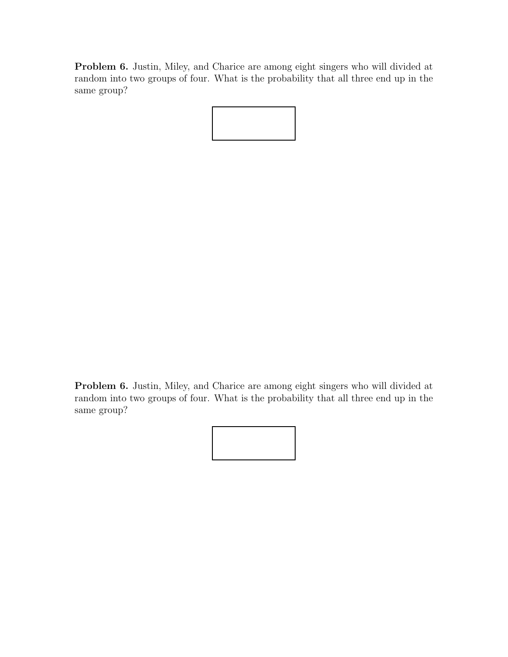Problem 6. Justin, Miley, and Charice are among eight singers who will divided at random into two groups of four. What is the probability that all three end up in the same group?

Problem 6. Justin, Miley, and Charice are among eight singers who will divided at random into two groups of four. What is the probability that all three end up in the same group?

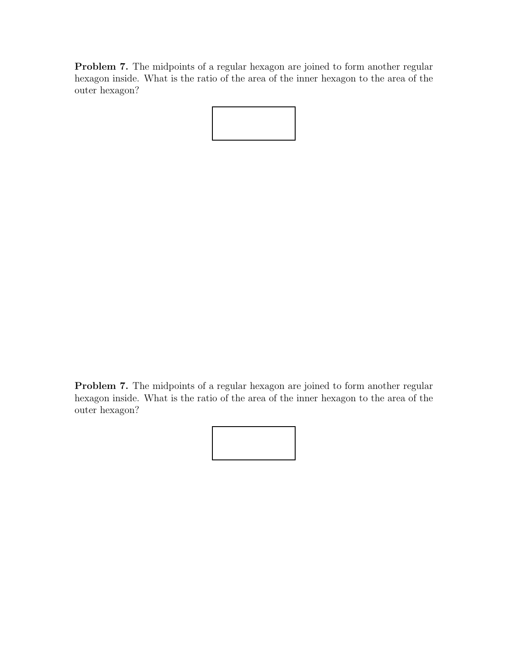Problem 7. The midpoints of a regular hexagon are joined to form another regular hexagon inside. What is the ratio of the area of the inner hexagon to the area of the outer hexagon?

Problem 7. The midpoints of a regular hexagon are joined to form another regular hexagon inside. What is the ratio of the area of the inner hexagon to the area of the outer hexagon?

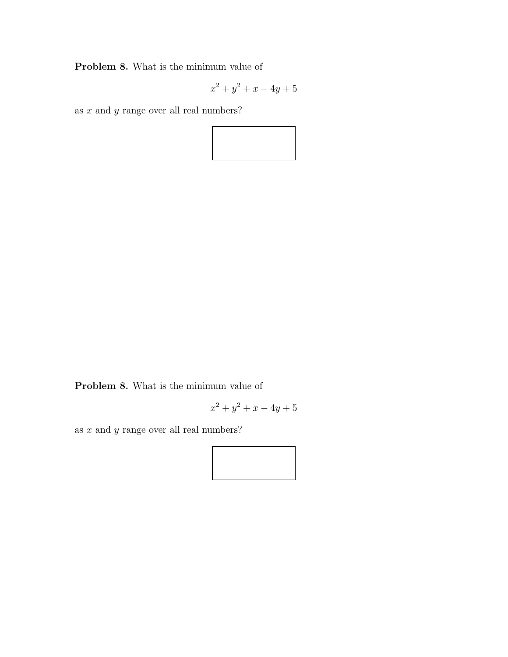Problem 8. What is the minimum value of

$$
x^2 + y^2 + x - 4y + 5
$$

as  $x$  and  $y$  range over all real numbers?



Problem 8. What is the minimum value of

$$
x^2 + y^2 + x - 4y + 5
$$

as  $x$  and  $y$  range over all real numbers?

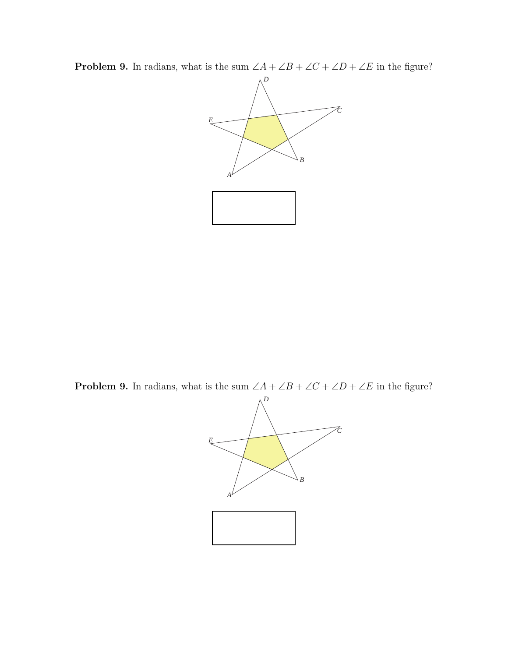**Problem 9.** In radians, what is the sum  $\angle A + \angle B + \angle C + \angle D + \angle E$  in the figure?



**Problem 9.** In radians, what is the sum  $\angle A + \angle B + \angle C + \angle D + \angle E$  in the figure?